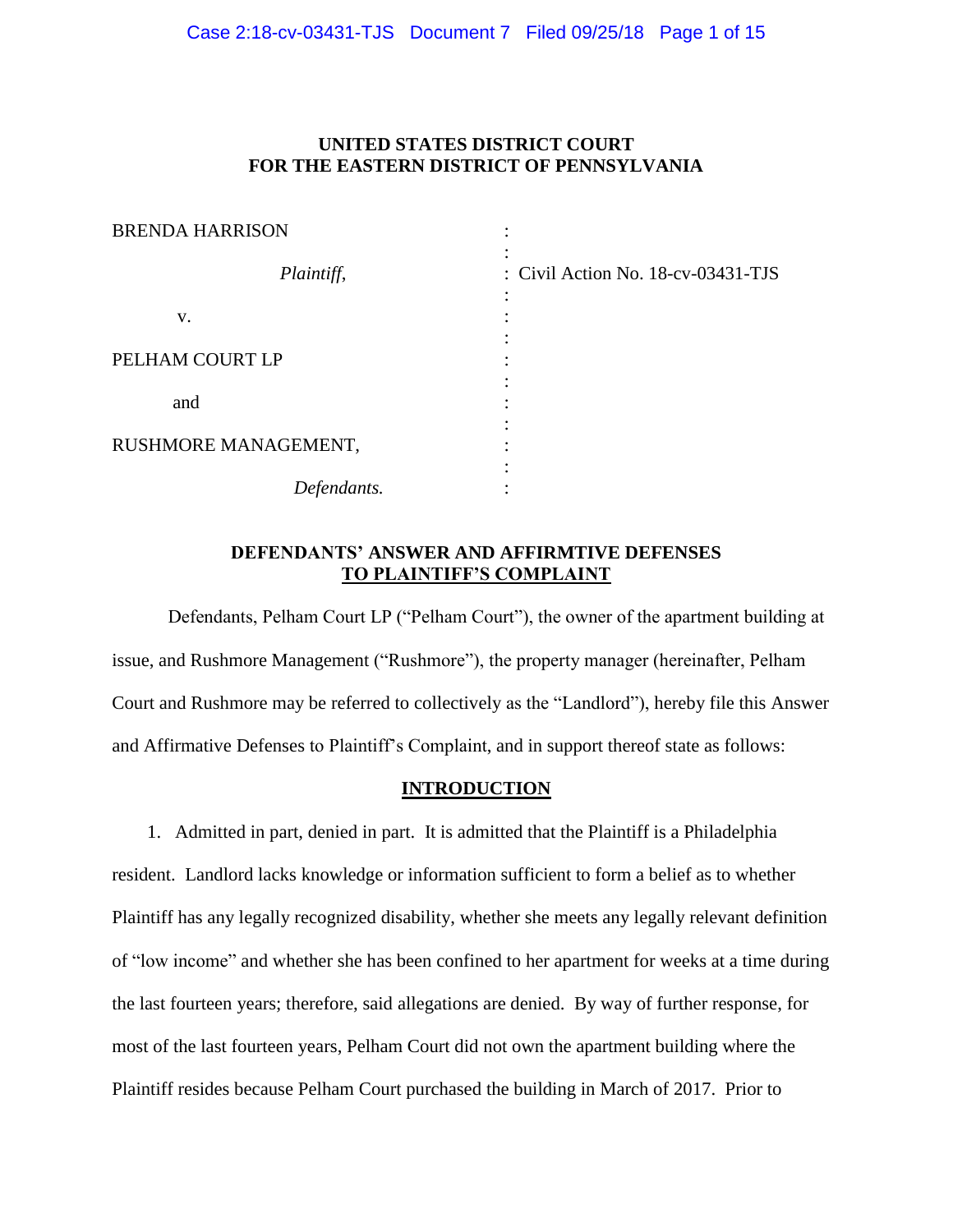## **UNITED STATES DISTRICT COURT FOR THE EASTERN DISTRICT OF PENNSYLVANIA**

| <b>BRENDA HARRISON</b> |                                    |
|------------------------|------------------------------------|
| Plaintiff,             | : Civil Action No. 18-cv-03431-TJS |
| V.                     |                                    |
| PELHAM COURT LP        |                                    |
| and                    |                                    |
| RUSHMORE MANAGEMENT,   |                                    |
| Defendants.            |                                    |

## **DEFENDANTS' ANSWER AND AFFIRMTIVE DEFENSES TO PLAINTIFF'S COMPLAINT**

Defendants, Pelham Court LP ("Pelham Court"), the owner of the apartment building at issue, and Rushmore Management ("Rushmore"), the property manager (hereinafter, Pelham Court and Rushmore may be referred to collectively as the "Landlord"), hereby file this Answer and Affirmative Defenses to Plaintiff's Complaint, and in support thereof state as follows:

## **INTRODUCTION**

1. Admitted in part, denied in part. It is admitted that the Plaintiff is a Philadelphia resident. Landlord lacks knowledge or information sufficient to form a belief as to whether Plaintiff has any legally recognized disability, whether she meets any legally relevant definition of "low income" and whether she has been confined to her apartment for weeks at a time during the last fourteen years; therefore, said allegations are denied. By way of further response, for most of the last fourteen years, Pelham Court did not own the apartment building where the Plaintiff resides because Pelham Court purchased the building in March of 2017. Prior to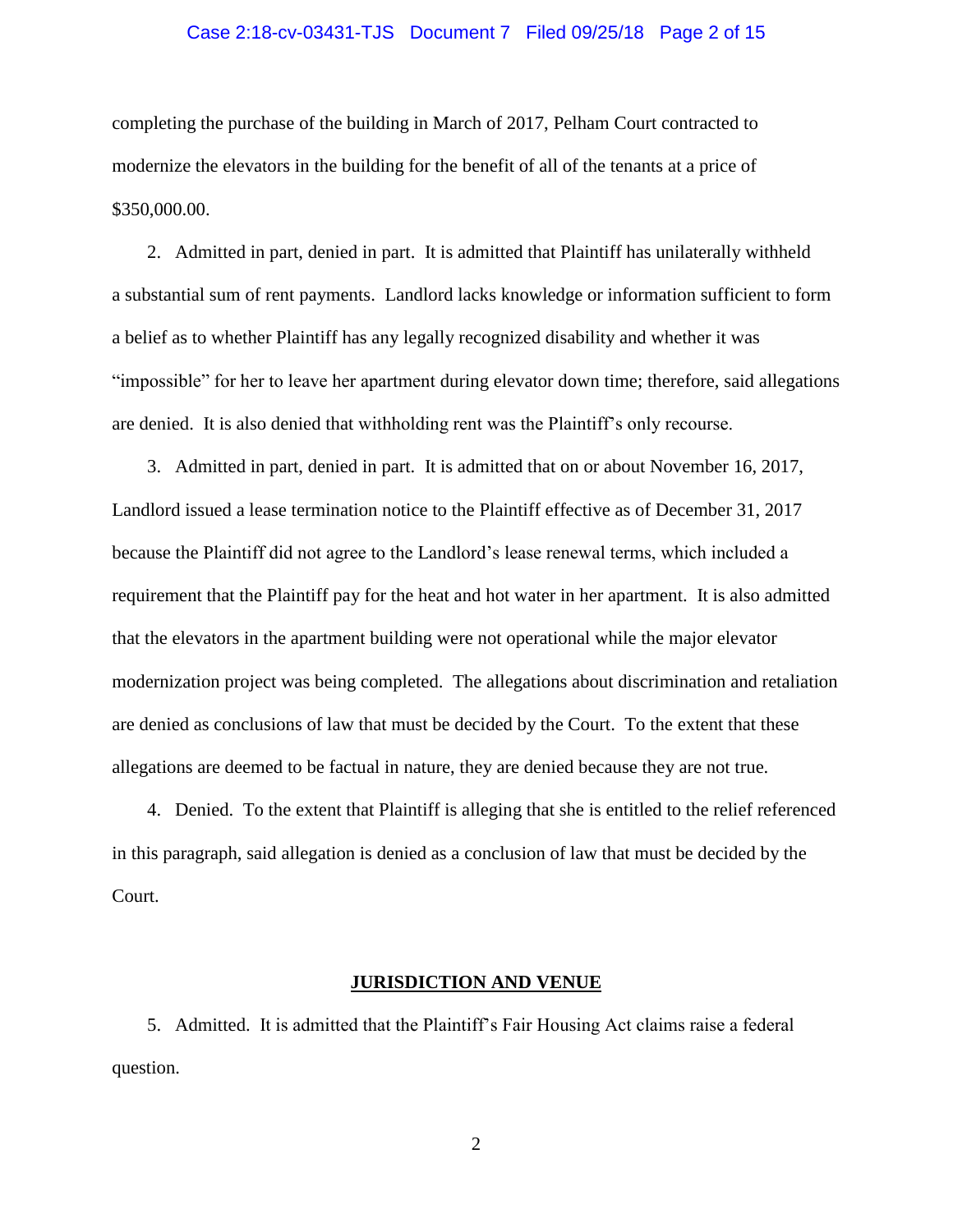### Case 2:18-cv-03431-TJS Document 7 Filed 09/25/18 Page 2 of 15

completing the purchase of the building in March of 2017, Pelham Court contracted to modernize the elevators in the building for the benefit of all of the tenants at a price of \$350,000.00.

2. Admitted in part, denied in part. It is admitted that Plaintiff has unilaterally withheld a substantial sum of rent payments. Landlord lacks knowledge or information sufficient to form a belief as to whether Plaintiff has any legally recognized disability and whether it was "impossible" for her to leave her apartment during elevator down time; therefore, said allegations are denied. It is also denied that withholding rent was the Plaintiff's only recourse.

3. Admitted in part, denied in part. It is admitted that on or about November 16, 2017, Landlord issued a lease termination notice to the Plaintiff effective as of December 31, 2017 because the Plaintiff did not agree to the Landlord's lease renewal terms, which included a requirement that the Plaintiff pay for the heat and hot water in her apartment. It is also admitted that the elevators in the apartment building were not operational while the major elevator modernization project was being completed. The allegations about discrimination and retaliation are denied as conclusions of law that must be decided by the Court. To the extent that these allegations are deemed to be factual in nature, they are denied because they are not true.

4. Denied. To the extent that Plaintiff is alleging that she is entitled to the relief referenced in this paragraph, said allegation is denied as a conclusion of law that must be decided by the Court.

### **JURISDICTION AND VENUE**

5. Admitted. It is admitted that the Plaintiff's Fair Housing Act claims raise a federal question.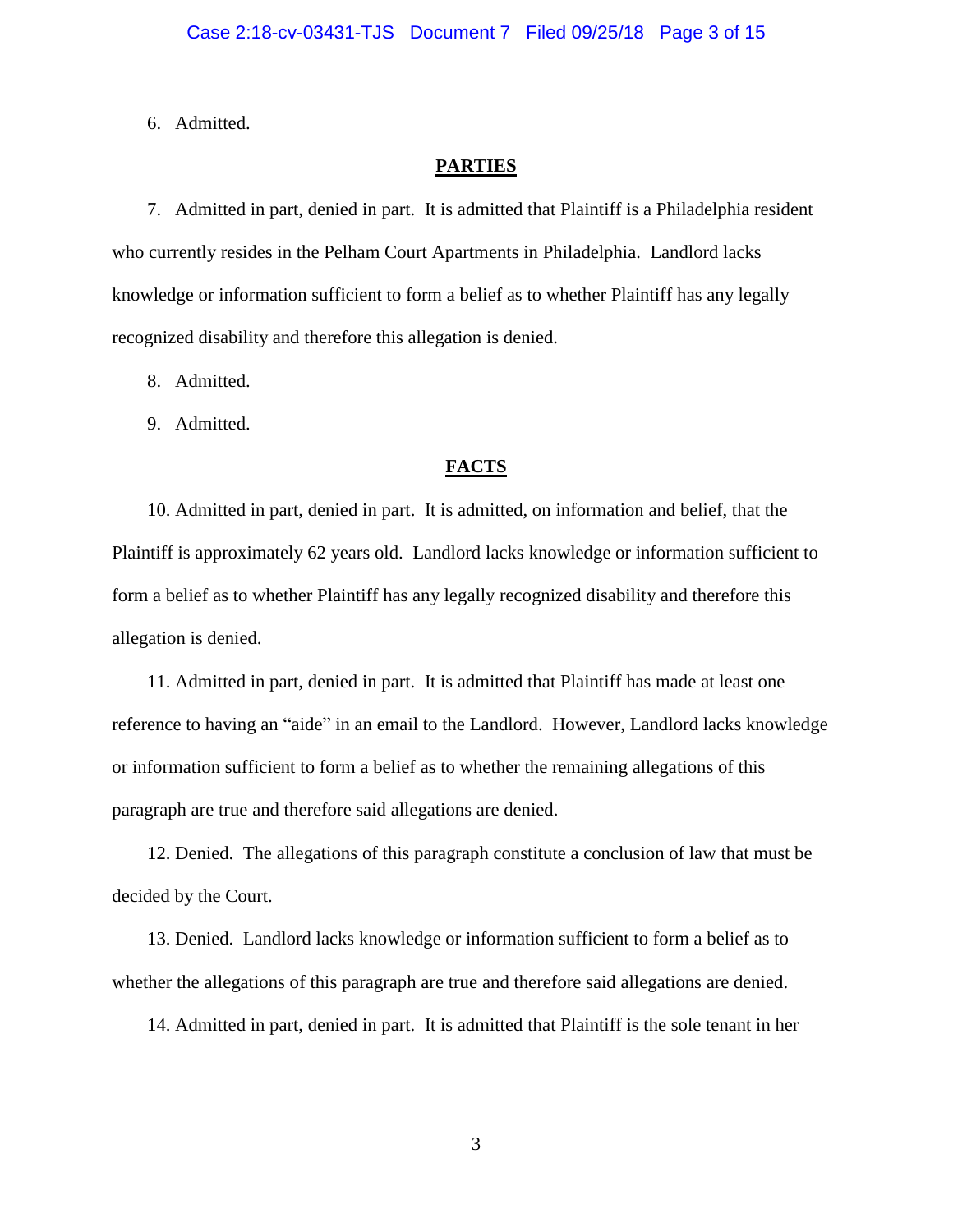6. Admitted.

### **PARTIES**

7. Admitted in part, denied in part. It is admitted that Plaintiff is a Philadelphia resident who currently resides in the Pelham Court Apartments in Philadelphia. Landlord lacks knowledge or information sufficient to form a belief as to whether Plaintiff has any legally recognized disability and therefore this allegation is denied.

8. Admitted.

9. Admitted.

### **FACTS**

10. Admitted in part, denied in part. It is admitted, on information and belief, that the Plaintiff is approximately 62 years old. Landlord lacks knowledge or information sufficient to form a belief as to whether Plaintiff has any legally recognized disability and therefore this allegation is denied.

11. Admitted in part, denied in part. It is admitted that Plaintiff has made at least one reference to having an "aide" in an email to the Landlord. However, Landlord lacks knowledge or information sufficient to form a belief as to whether the remaining allegations of this paragraph are true and therefore said allegations are denied.

12. Denied. The allegations of this paragraph constitute a conclusion of law that must be decided by the Court.

13. Denied. Landlord lacks knowledge or information sufficient to form a belief as to whether the allegations of this paragraph are true and therefore said allegations are denied.

14. Admitted in part, denied in part. It is admitted that Plaintiff is the sole tenant in her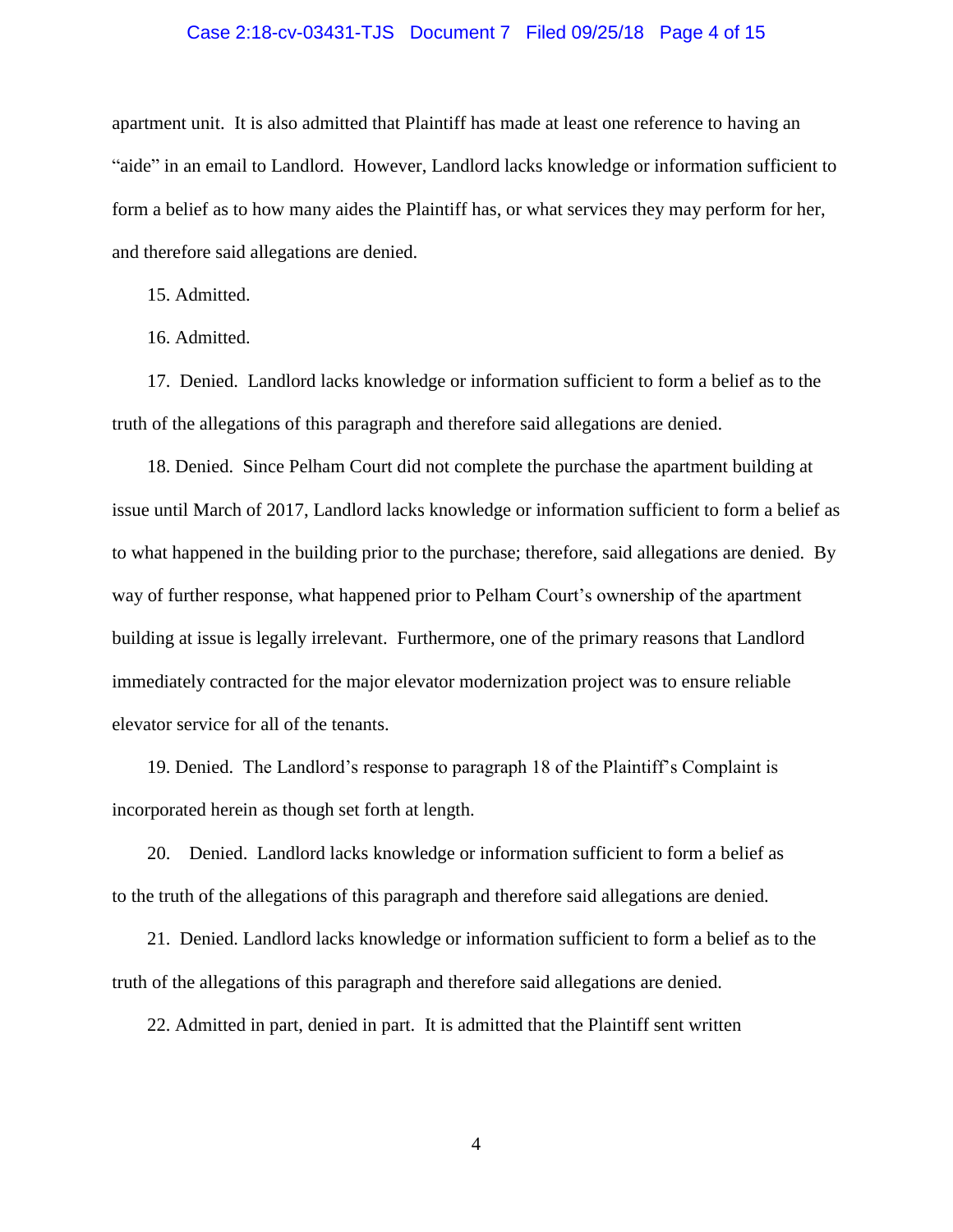### Case 2:18-cv-03431-TJS Document 7 Filed 09/25/18 Page 4 of 15

apartment unit. It is also admitted that Plaintiff has made at least one reference to having an "aide" in an email to Landlord. However, Landlord lacks knowledge or information sufficient to form a belief as to how many aides the Plaintiff has, or what services they may perform for her, and therefore said allegations are denied.

15. Admitted.

16. Admitted.

17. Denied. Landlord lacks knowledge or information sufficient to form a belief as to the truth of the allegations of this paragraph and therefore said allegations are denied.

18. Denied. Since Pelham Court did not complete the purchase the apartment building at issue until March of 2017, Landlord lacks knowledge or information sufficient to form a belief as to what happened in the building prior to the purchase; therefore, said allegations are denied. By way of further response, what happened prior to Pelham Court's ownership of the apartment building at issue is legally irrelevant. Furthermore, one of the primary reasons that Landlord immediately contracted for the major elevator modernization project was to ensure reliable elevator service for all of the tenants.

19. Denied. The Landlord's response to paragraph 18 of the Plaintiff's Complaint is incorporated herein as though set forth at length.

20. Denied. Landlord lacks knowledge or information sufficient to form a belief as to the truth of the allegations of this paragraph and therefore said allegations are denied.

21. Denied. Landlord lacks knowledge or information sufficient to form a belief as to the truth of the allegations of this paragraph and therefore said allegations are denied.

22. Admitted in part, denied in part. It is admitted that the Plaintiff sent written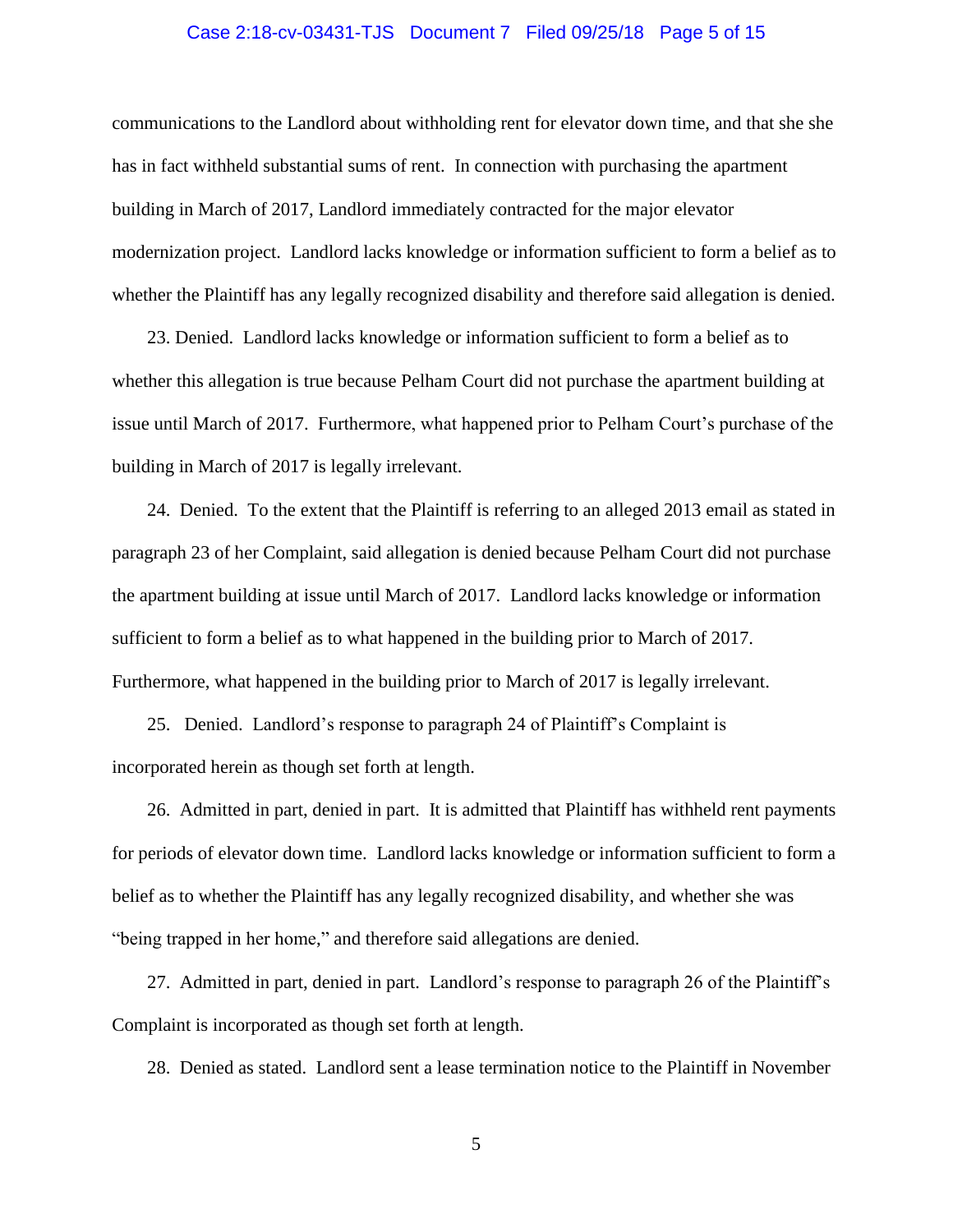### Case 2:18-cv-03431-TJS Document 7 Filed 09/25/18 Page 5 of 15

communications to the Landlord about withholding rent for elevator down time, and that she she has in fact withheld substantial sums of rent. In connection with purchasing the apartment building in March of 2017, Landlord immediately contracted for the major elevator modernization project. Landlord lacks knowledge or information sufficient to form a belief as to whether the Plaintiff has any legally recognized disability and therefore said allegation is denied.

23. Denied. Landlord lacks knowledge or information sufficient to form a belief as to whether this allegation is true because Pelham Court did not purchase the apartment building at issue until March of 2017. Furthermore, what happened prior to Pelham Court's purchase of the building in March of 2017 is legally irrelevant.

24. Denied. To the extent that the Plaintiff is referring to an alleged 2013 email as stated in paragraph 23 of her Complaint, said allegation is denied because Pelham Court did not purchase the apartment building at issue until March of 2017. Landlord lacks knowledge or information sufficient to form a belief as to what happened in the building prior to March of 2017. Furthermore, what happened in the building prior to March of 2017 is legally irrelevant.

25. Denied. Landlord's response to paragraph 24 of Plaintiff's Complaint is incorporated herein as though set forth at length.

26. Admitted in part, denied in part. It is admitted that Plaintiff has withheld rent payments for periods of elevator down time. Landlord lacks knowledge or information sufficient to form a belief as to whether the Plaintiff has any legally recognized disability, and whether she was "being trapped in her home," and therefore said allegations are denied.

27. Admitted in part, denied in part. Landlord's response to paragraph 26 of the Plaintiff's Complaint is incorporated as though set forth at length.

28. Denied as stated. Landlord sent a lease termination notice to the Plaintiff in November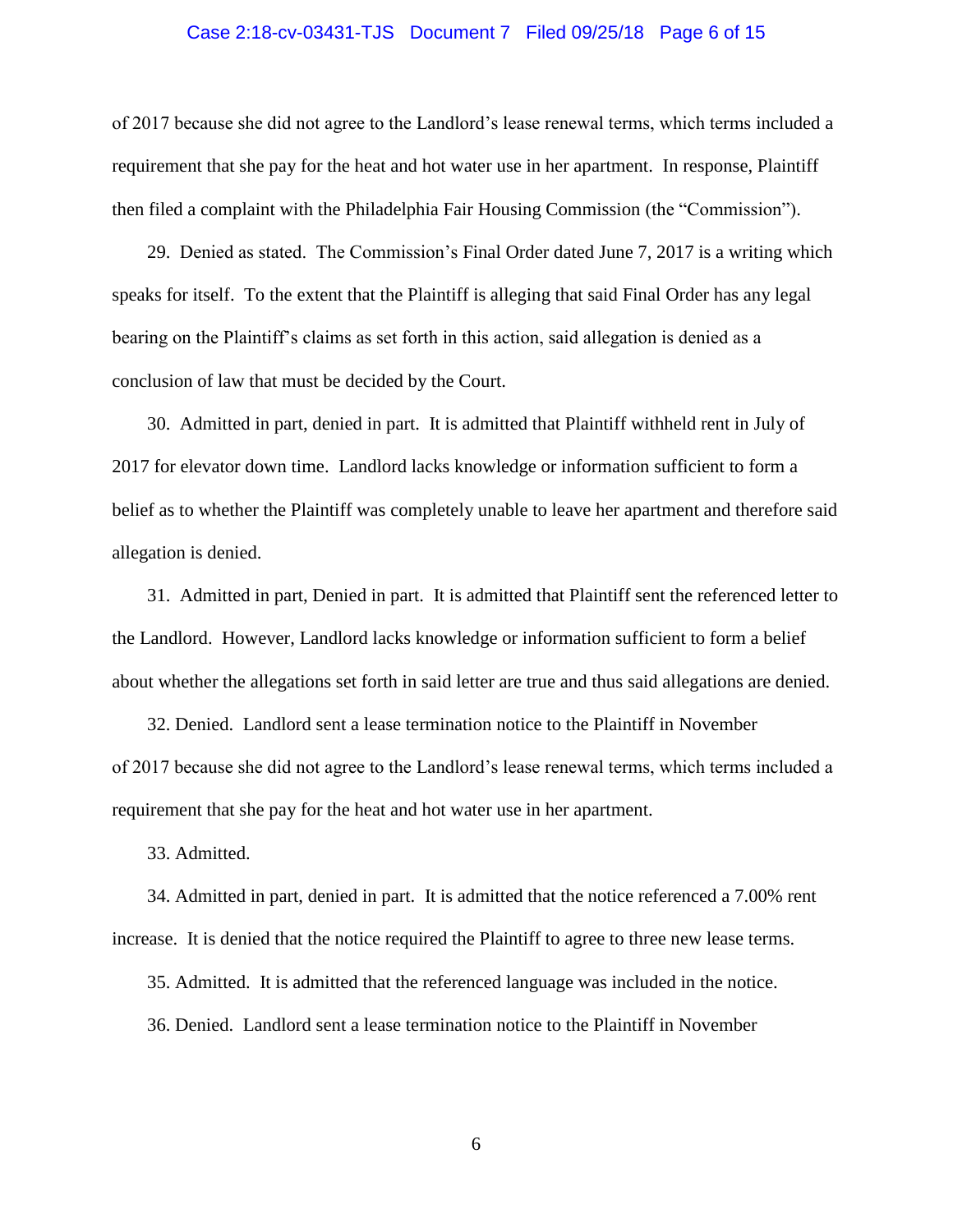### Case 2:18-cv-03431-TJS Document 7 Filed 09/25/18 Page 6 of 15

of 2017 because she did not agree to the Landlord's lease renewal terms, which terms included a requirement that she pay for the heat and hot water use in her apartment. In response, Plaintiff then filed a complaint with the Philadelphia Fair Housing Commission (the "Commission").

29. Denied as stated. The Commission's Final Order dated June 7, 2017 is a writing which speaks for itself. To the extent that the Plaintiff is alleging that said Final Order has any legal bearing on the Plaintiff's claims as set forth in this action, said allegation is denied as a conclusion of law that must be decided by the Court.

30. Admitted in part, denied in part. It is admitted that Plaintiff withheld rent in July of 2017 for elevator down time. Landlord lacks knowledge or information sufficient to form a belief as to whether the Plaintiff was completely unable to leave her apartment and therefore said allegation is denied.

31. Admitted in part, Denied in part. It is admitted that Plaintiff sent the referenced letter to the Landlord. However, Landlord lacks knowledge or information sufficient to form a belief about whether the allegations set forth in said letter are true and thus said allegations are denied.

32. Denied. Landlord sent a lease termination notice to the Plaintiff in November of 2017 because she did not agree to the Landlord's lease renewal terms, which terms included a requirement that she pay for the heat and hot water use in her apartment.

33. Admitted.

34. Admitted in part, denied in part. It is admitted that the notice referenced a 7.00% rent increase. It is denied that the notice required the Plaintiff to agree to three new lease terms.

35. Admitted. It is admitted that the referenced language was included in the notice.

36. Denied. Landlord sent a lease termination notice to the Plaintiff in November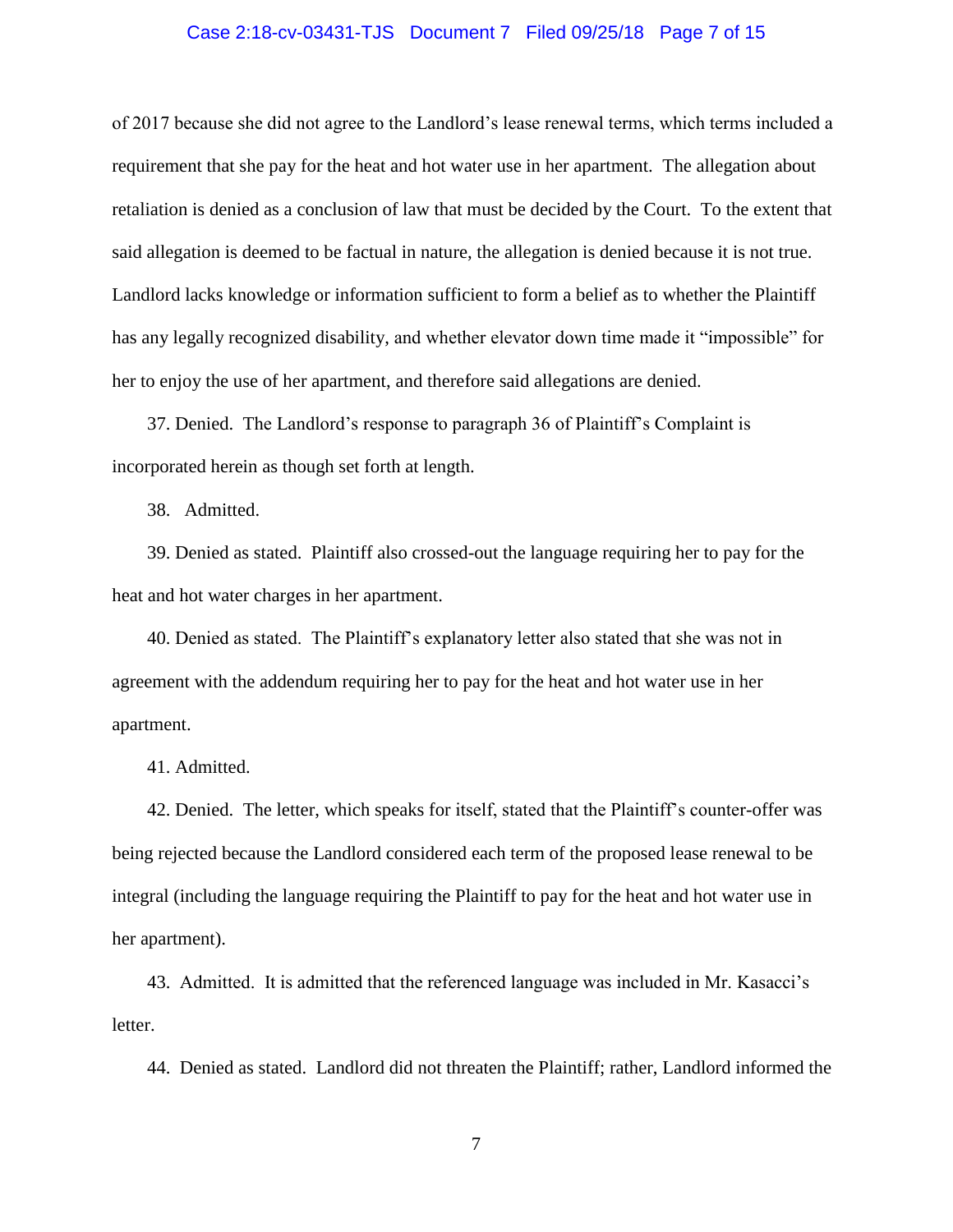### Case 2:18-cv-03431-TJS Document 7 Filed 09/25/18 Page 7 of 15

of 2017 because she did not agree to the Landlord's lease renewal terms, which terms included a requirement that she pay for the heat and hot water use in her apartment. The allegation about retaliation is denied as a conclusion of law that must be decided by the Court. To the extent that said allegation is deemed to be factual in nature, the allegation is denied because it is not true. Landlord lacks knowledge or information sufficient to form a belief as to whether the Plaintiff has any legally recognized disability, and whether elevator down time made it "impossible" for her to enjoy the use of her apartment, and therefore said allegations are denied.

37. Denied. The Landlord's response to paragraph 36 of Plaintiff's Complaint is incorporated herein as though set forth at length.

38. Admitted.

39. Denied as stated. Plaintiff also crossed-out the language requiring her to pay for the heat and hot water charges in her apartment.

40. Denied as stated. The Plaintiff's explanatory letter also stated that she was not in agreement with the addendum requiring her to pay for the heat and hot water use in her apartment.

41. Admitted.

42. Denied. The letter, which speaks for itself, stated that the Plaintiff's counter-offer was being rejected because the Landlord considered each term of the proposed lease renewal to be integral (including the language requiring the Plaintiff to pay for the heat and hot water use in her apartment).

43. Admitted. It is admitted that the referenced language was included in Mr. Kasacci's letter.

44. Denied as stated. Landlord did not threaten the Plaintiff; rather, Landlord informed the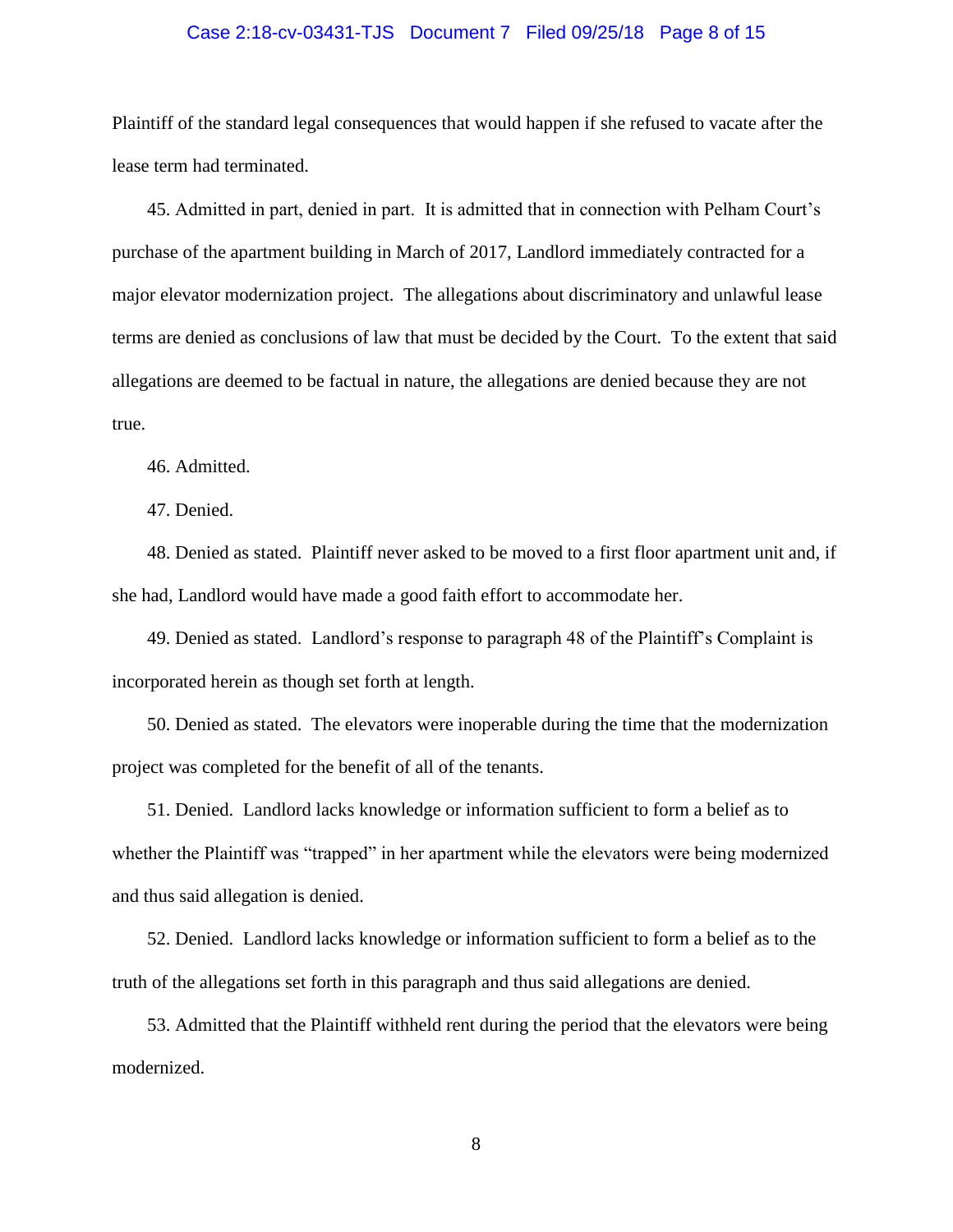### Case 2:18-cv-03431-TJS Document 7 Filed 09/25/18 Page 8 of 15

Plaintiff of the standard legal consequences that would happen if she refused to vacate after the lease term had terminated.

45. Admitted in part, denied in part. It is admitted that in connection with Pelham Court's purchase of the apartment building in March of 2017, Landlord immediately contracted for a major elevator modernization project. The allegations about discriminatory and unlawful lease terms are denied as conclusions of law that must be decided by the Court. To the extent that said allegations are deemed to be factual in nature, the allegations are denied because they are not true.

46. Admitted.

47. Denied.

48. Denied as stated. Plaintiff never asked to be moved to a first floor apartment unit and, if she had, Landlord would have made a good faith effort to accommodate her.

49. Denied as stated. Landlord's response to paragraph 48 of the Plaintiff's Complaint is incorporated herein as though set forth at length.

50. Denied as stated. The elevators were inoperable during the time that the modernization project was completed for the benefit of all of the tenants.

51. Denied. Landlord lacks knowledge or information sufficient to form a belief as to whether the Plaintiff was "trapped" in her apartment while the elevators were being modernized and thus said allegation is denied.

52. Denied. Landlord lacks knowledge or information sufficient to form a belief as to the truth of the allegations set forth in this paragraph and thus said allegations are denied.

53. Admitted that the Plaintiff withheld rent during the period that the elevators were being modernized.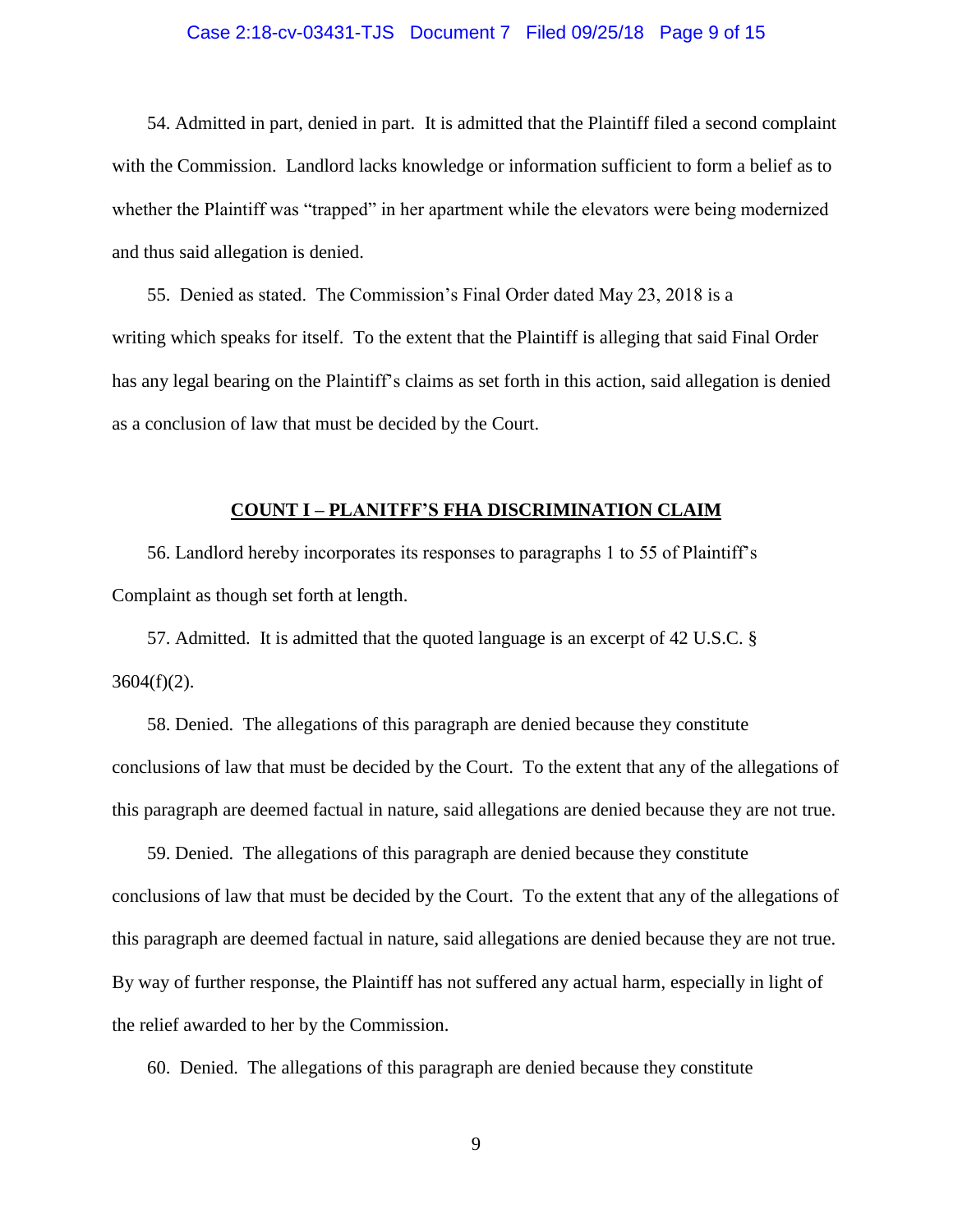### Case 2:18-cv-03431-TJS Document 7 Filed 09/25/18 Page 9 of 15

54. Admitted in part, denied in part. It is admitted that the Plaintiff filed a second complaint with the Commission. Landlord lacks knowledge or information sufficient to form a belief as to whether the Plaintiff was "trapped" in her apartment while the elevators were being modernized and thus said allegation is denied.

55. Denied as stated. The Commission's Final Order dated May 23, 2018 is a writing which speaks for itself. To the extent that the Plaintiff is alleging that said Final Order has any legal bearing on the Plaintiff's claims as set forth in this action, said allegation is denied as a conclusion of law that must be decided by the Court.

### **COUNT I – PLANITFF'S FHA DISCRIMINATION CLAIM**

56. Landlord hereby incorporates its responses to paragraphs 1 to 55 of Plaintiff's Complaint as though set forth at length.

57. Admitted. It is admitted that the quoted language is an excerpt of 42 U.S.C. §  $3604(f)(2)$ .

58. Denied. The allegations of this paragraph are denied because they constitute conclusions of law that must be decided by the Court. To the extent that any of the allegations of this paragraph are deemed factual in nature, said allegations are denied because they are not true.

59. Denied. The allegations of this paragraph are denied because they constitute conclusions of law that must be decided by the Court. To the extent that any of the allegations of this paragraph are deemed factual in nature, said allegations are denied because they are not true. By way of further response, the Plaintiff has not suffered any actual harm, especially in light of the relief awarded to her by the Commission.

60. Denied. The allegations of this paragraph are denied because they constitute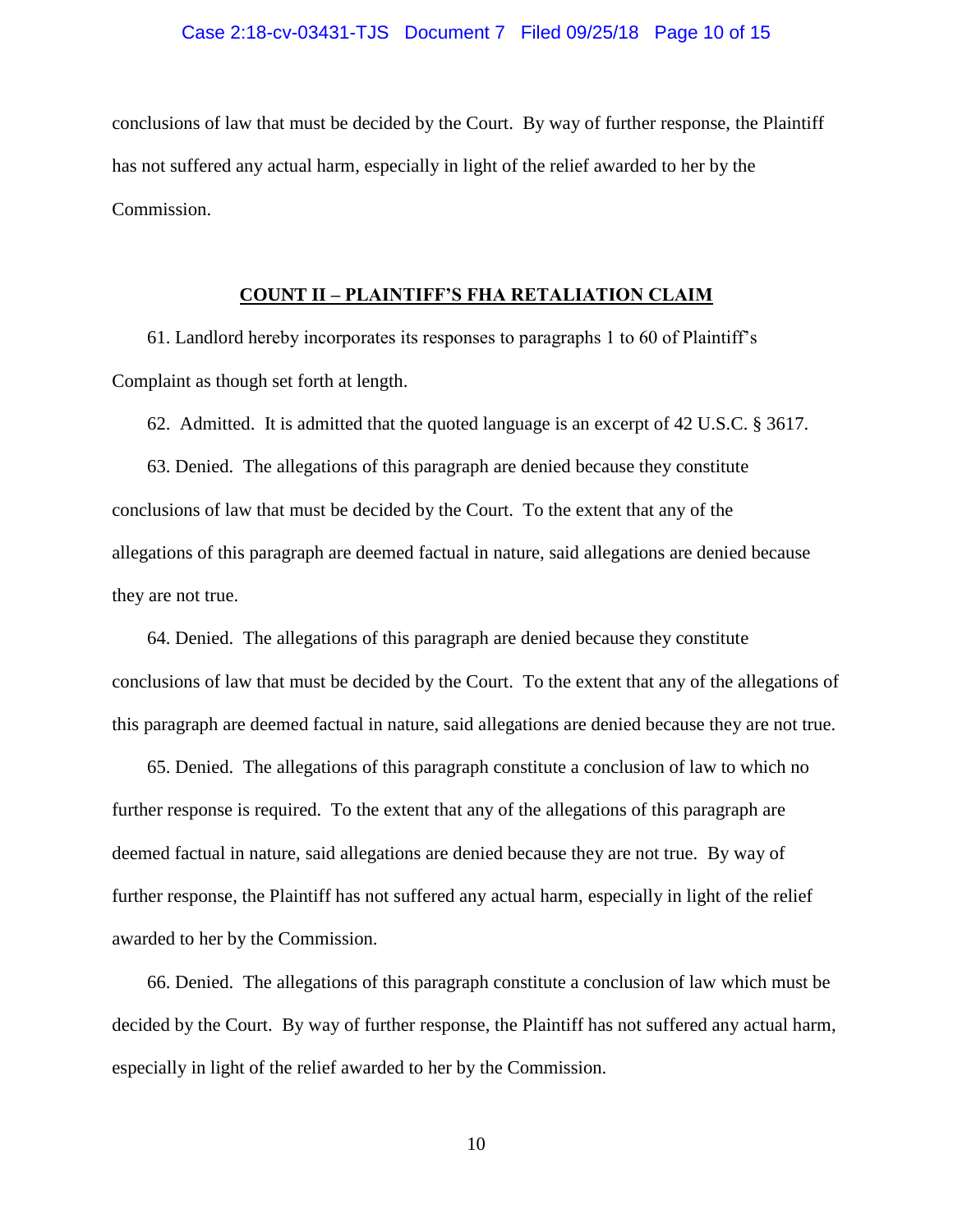### Case 2:18-cv-03431-TJS Document 7 Filed 09/25/18 Page 10 of 15

conclusions of law that must be decided by the Court. By way of further response, the Plaintiff has not suffered any actual harm, especially in light of the relief awarded to her by the Commission.

### **COUNT II – PLAINTIFF'S FHA RETALIATION CLAIM**

61. Landlord hereby incorporates its responses to paragraphs 1 to 60 of Plaintiff's Complaint as though set forth at length.

62. Admitted. It is admitted that the quoted language is an excerpt of 42 U.S.C. § 3617.

63. Denied. The allegations of this paragraph are denied because they constitute conclusions of law that must be decided by the Court. To the extent that any of the allegations of this paragraph are deemed factual in nature, said allegations are denied because they are not true.

64. Denied. The allegations of this paragraph are denied because they constitute conclusions of law that must be decided by the Court. To the extent that any of the allegations of this paragraph are deemed factual in nature, said allegations are denied because they are not true.

65. Denied. The allegations of this paragraph constitute a conclusion of law to which no further response is required. To the extent that any of the allegations of this paragraph are deemed factual in nature, said allegations are denied because they are not true. By way of further response, the Plaintiff has not suffered any actual harm, especially in light of the relief awarded to her by the Commission.

66. Denied. The allegations of this paragraph constitute a conclusion of law which must be decided by the Court. By way of further response, the Plaintiff has not suffered any actual harm, especially in light of the relief awarded to her by the Commission.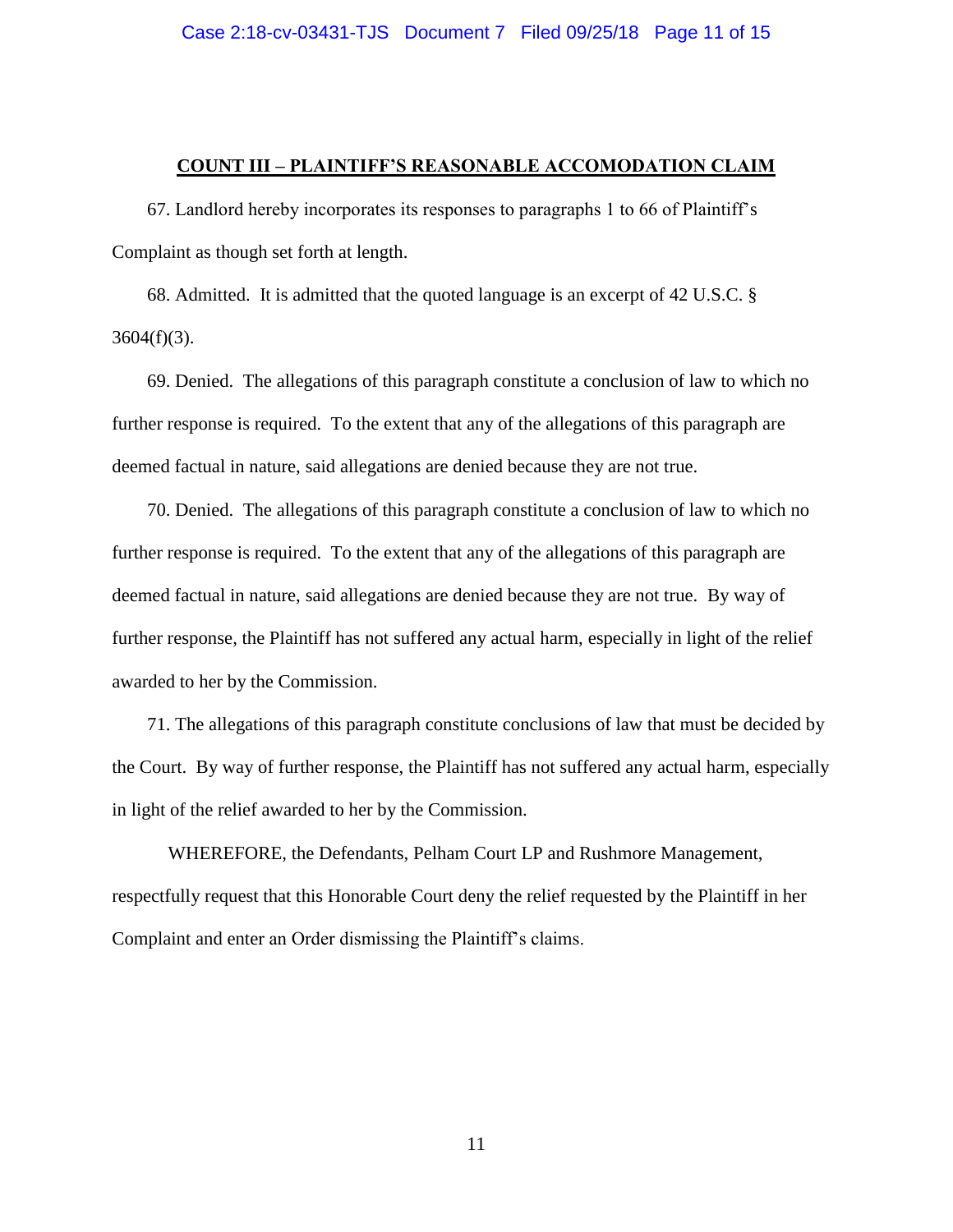### **COUNT III – PLAINTIFF'S REASONABLE ACCOMODATION CLAIM**

67. Landlord hereby incorporates its responses to paragraphs 1 to 66 of Plaintiff's Complaint as though set forth at length.

68. Admitted. It is admitted that the quoted language is an excerpt of 42 U.S.C. §  $3604(f)(3)$ .

69. Denied. The allegations of this paragraph constitute a conclusion of law to which no further response is required. To the extent that any of the allegations of this paragraph are deemed factual in nature, said allegations are denied because they are not true.

70. Denied. The allegations of this paragraph constitute a conclusion of law to which no further response is required. To the extent that any of the allegations of this paragraph are deemed factual in nature, said allegations are denied because they are not true. By way of further response, the Plaintiff has not suffered any actual harm, especially in light of the relief awarded to her by the Commission.

71. The allegations of this paragraph constitute conclusions of law that must be decided by the Court. By way of further response, the Plaintiff has not suffered any actual harm, especially in light of the relief awarded to her by the Commission.

WHEREFORE, the Defendants, Pelham Court LP and Rushmore Management, respectfully request that this Honorable Court deny the relief requested by the Plaintiff in her Complaint and enter an Order dismissing the Plaintiff's claims.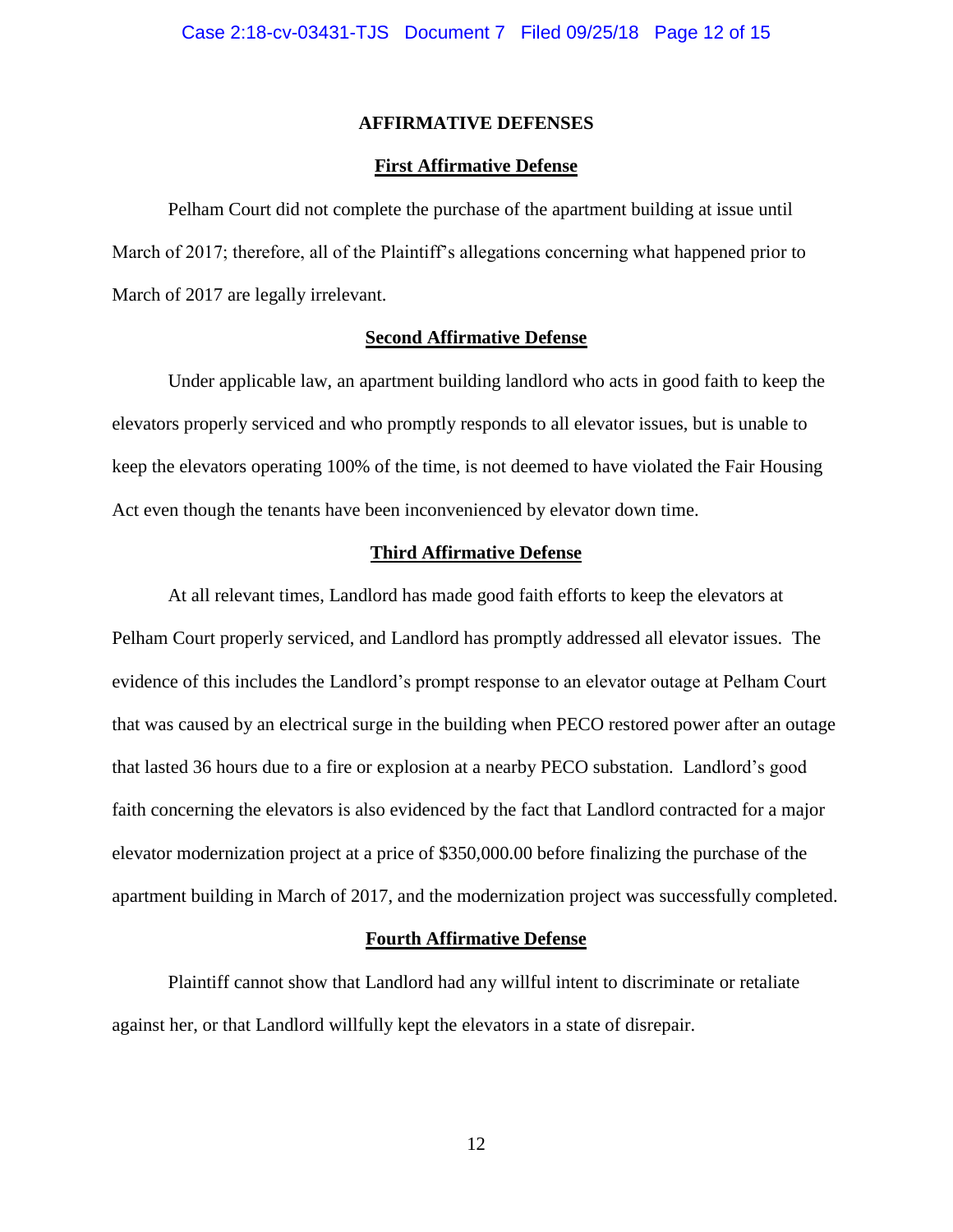### **AFFIRMATIVE DEFENSES**

### **First Affirmative Defense**

Pelham Court did not complete the purchase of the apartment building at issue until March of 2017; therefore, all of the Plaintiff's allegations concerning what happened prior to March of 2017 are legally irrelevant.

### **Second Affirmative Defense**

Under applicable law, an apartment building landlord who acts in good faith to keep the elevators properly serviced and who promptly responds to all elevator issues, but is unable to keep the elevators operating 100% of the time, is not deemed to have violated the Fair Housing Act even though the tenants have been inconvenienced by elevator down time.

### **Third Affirmative Defense**

At all relevant times, Landlord has made good faith efforts to keep the elevators at Pelham Court properly serviced, and Landlord has promptly addressed all elevator issues. The evidence of this includes the Landlord's prompt response to an elevator outage at Pelham Court that was caused by an electrical surge in the building when PECO restored power after an outage that lasted 36 hours due to a fire or explosion at a nearby PECO substation. Landlord's good faith concerning the elevators is also evidenced by the fact that Landlord contracted for a major elevator modernization project at a price of \$350,000.00 before finalizing the purchase of the apartment building in March of 2017, and the modernization project was successfully completed.

#### **Fourth Affirmative Defense**

Plaintiff cannot show that Landlord had any willful intent to discriminate or retaliate against her, or that Landlord willfully kept the elevators in a state of disrepair.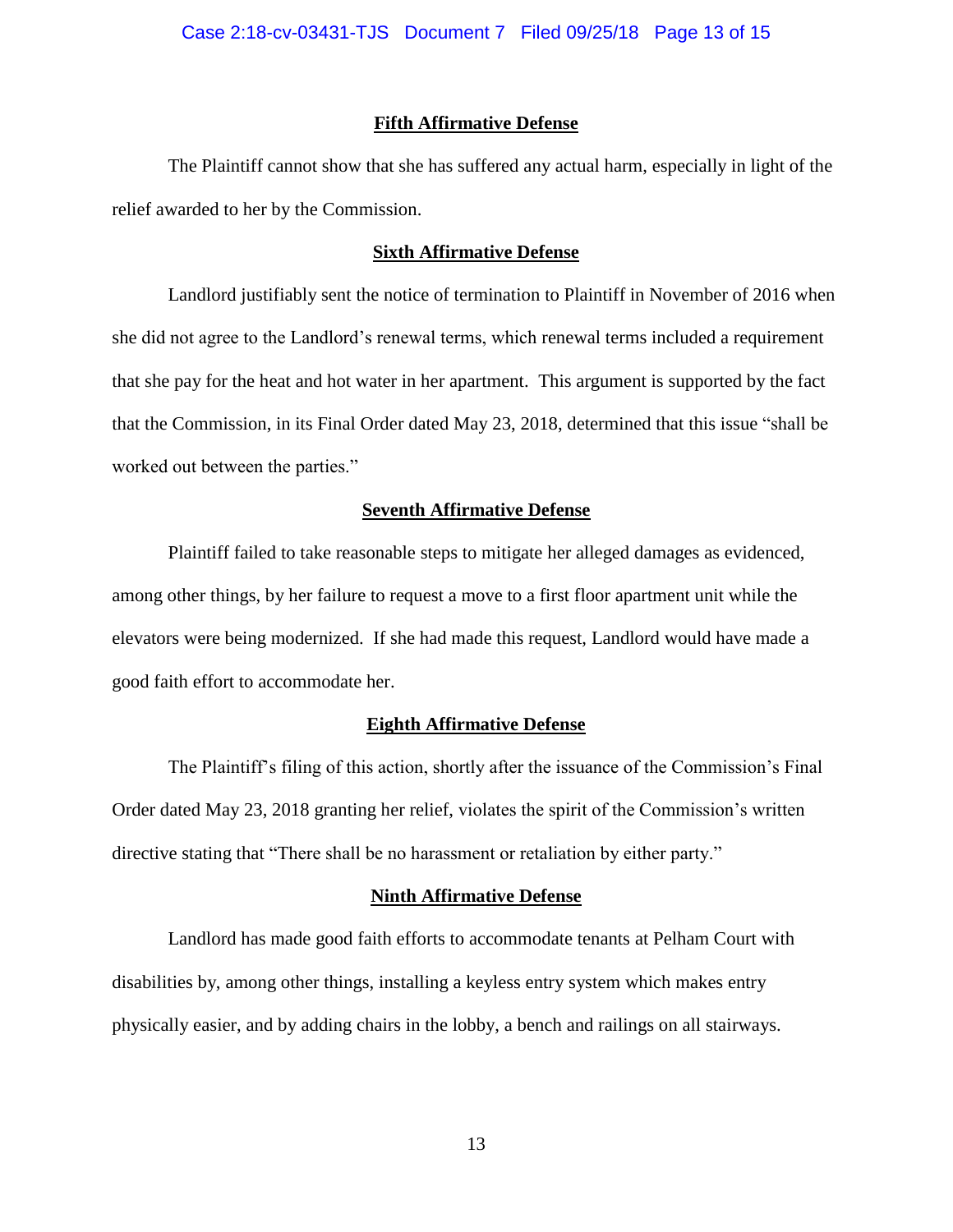### **Fifth Affirmative Defense**

The Plaintiff cannot show that she has suffered any actual harm, especially in light of the relief awarded to her by the Commission.

### **Sixth Affirmative Defense**

Landlord justifiably sent the notice of termination to Plaintiff in November of 2016 when she did not agree to the Landlord's renewal terms, which renewal terms included a requirement that she pay for the heat and hot water in her apartment. This argument is supported by the fact that the Commission, in its Final Order dated May 23, 2018, determined that this issue "shall be worked out between the parties."

### **Seventh Affirmative Defense**

Plaintiff failed to take reasonable steps to mitigate her alleged damages as evidenced, among other things, by her failure to request a move to a first floor apartment unit while the elevators were being modernized. If she had made this request, Landlord would have made a good faith effort to accommodate her.

### **Eighth Affirmative Defense**

The Plaintiff's filing of this action, shortly after the issuance of the Commission's Final Order dated May 23, 2018 granting her relief, violates the spirit of the Commission's written directive stating that "There shall be no harassment or retaliation by either party."

### **Ninth Affirmative Defense**

Landlord has made good faith efforts to accommodate tenants at Pelham Court with disabilities by, among other things, installing a keyless entry system which makes entry physically easier, and by adding chairs in the lobby, a bench and railings on all stairways.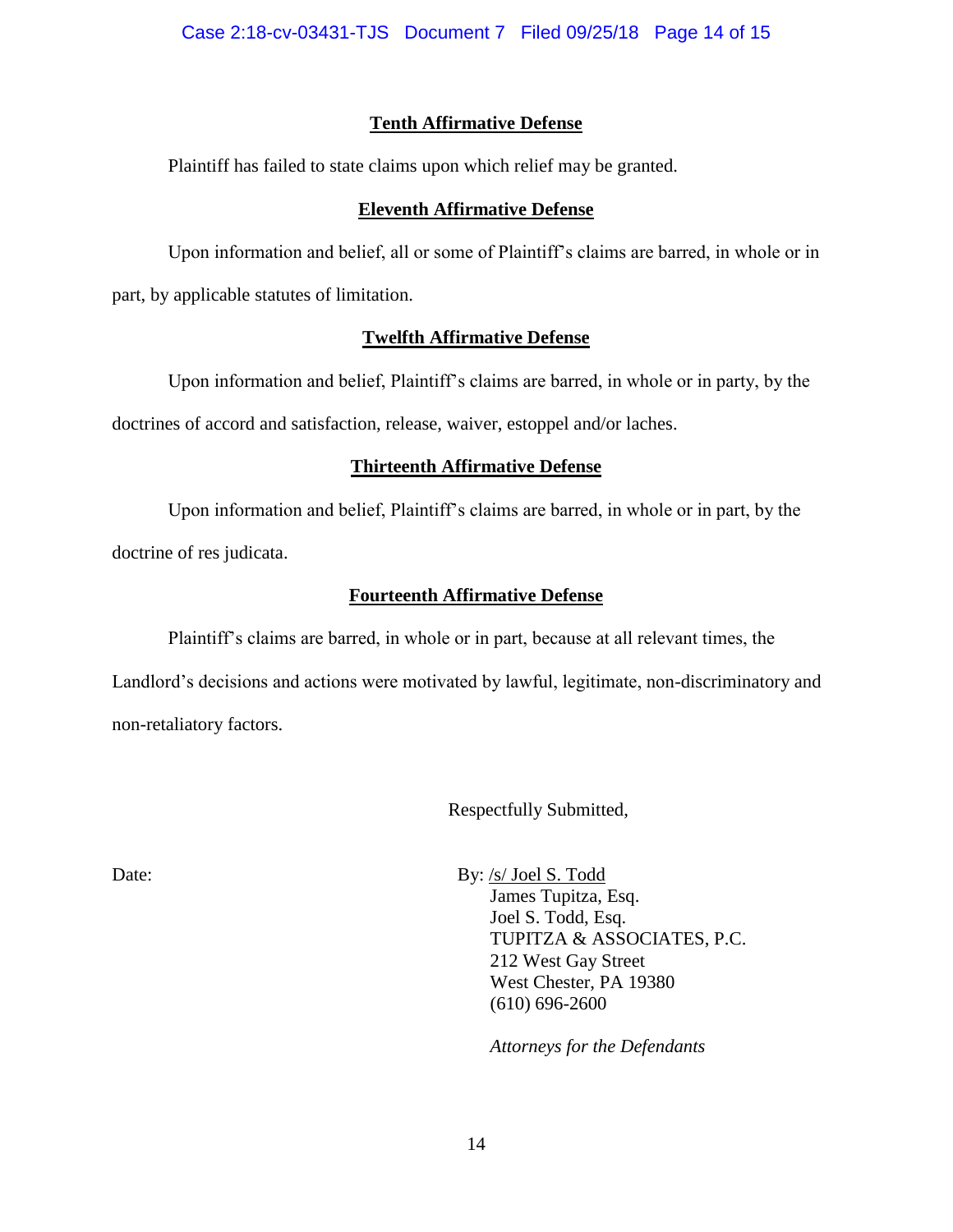# **Tenth Affirmative Defense**

Plaintiff has failed to state claims upon which relief may be granted.

## **Eleventh Affirmative Defense**

Upon information and belief, all or some of Plaintiff's claims are barred, in whole or in part, by applicable statutes of limitation.

## **Twelfth Affirmative Defense**

Upon information and belief, Plaintiff's claims are barred, in whole or in party, by the doctrines of accord and satisfaction, release, waiver, estoppel and/or laches.

# **Thirteenth Affirmative Defense**

Upon information and belief, Plaintiff's claims are barred, in whole or in part, by the doctrine of res judicata.

# **Fourteenth Affirmative Defense**

Plaintiff's claims are barred, in whole or in part, because at all relevant times, the Landlord's decisions and actions were motivated by lawful, legitimate, non-discriminatory and non-retaliatory factors.

Respectfully Submitted,

Date: By: /s/ Joel S. Todd James Tupitza, Esq. Joel S. Todd, Esq. TUPITZA & ASSOCIATES, P.C. 212 West Gay Street West Chester, PA 19380 (610) 696-2600

*Attorneys for the Defendants*